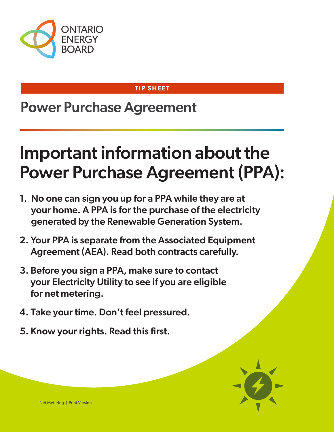

#### **TIP SHEET**

## Power Purchase Agreement

# Important information about the Power Purchase Agreement (PPA):

- 1. No one can sign you up for a PPA while they are at your home. A PPA is for the purchase of the electricity generated by the Renewable Generation System.
- 2. Your PPA is separate from the Associated Equipment Agreement (AEA). Read both contracts carefully.
- 3. Before you sign a PPA, make sure to contact your Electricity Utility to see if you are eligible for net metering.
- 4. Take your time. Don't feel pressured.
- 5. Know your rights. Read this first.